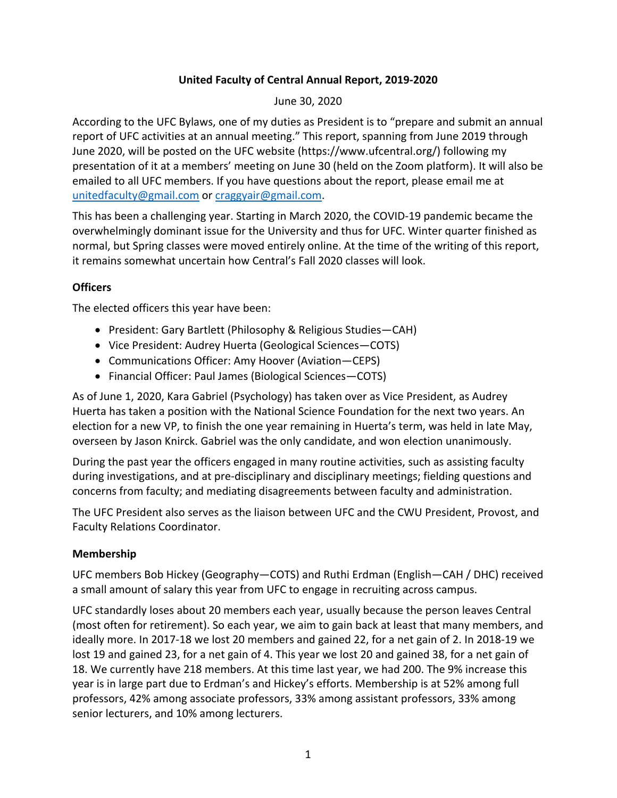### **United Faculty of Central Annual Report, 2019-2020**

June 30, 2020

According to the UFC Bylaws, one of my duties as President is to "prepare and submit an annual report of UFC activities at an annual meeting." This report, spanning from June 2019 through June 2020, will be posted on the UFC website (https://www.ufcentral.org/) following my presentation of it at a members' meeting on June 30 (held on the Zoom platform). It will also be emailed to all UFC members. If you have questions about the report, please email me at unitedfaculty@gmail.com or craggyair@gmail.com.

This has been a challenging year. Starting in March 2020, the COVID-19 pandemic became the overwhelmingly dominant issue for the University and thus for UFC. Winter quarter finished as normal, but Spring classes were moved entirely online. At the time of the writing of this report, it remains somewhat uncertain how Central's Fall 2020 classes will look.

## **Officers**

The elected officers this year have been:

- President: Gary Bartlett (Philosophy & Religious Studies—CAH)
- Vice President: Audrey Huerta (Geological Sciences—COTS)
- Communications Officer: Amy Hoover (Aviation—CEPS)
- Financial Officer: Paul James (Biological Sciences—COTS)

As of June 1, 2020, Kara Gabriel (Psychology) has taken over as Vice President, as Audrey Huerta has taken a position with the National Science Foundation for the next two years. An election for a new VP, to finish the one year remaining in Huerta's term, was held in late May, overseen by Jason Knirck. Gabriel was the only candidate, and won election unanimously.

During the past year the officers engaged in many routine activities, such as assisting faculty during investigations, and at pre-disciplinary and disciplinary meetings; fielding questions and concerns from faculty; and mediating disagreements between faculty and administration.

The UFC President also serves as the liaison between UFC and the CWU President, Provost, and Faculty Relations Coordinator.

### **Membership**

UFC members Bob Hickey (Geography—COTS) and Ruthi Erdman (English—CAH / DHC) received a small amount of salary this year from UFC to engage in recruiting across campus.

UFC standardly loses about 20 members each year, usually because the person leaves Central (most often for retirement). So each year, we aim to gain back at least that many members, and ideally more. In 2017-18 we lost 20 members and gained 22, for a net gain of 2. In 2018-19 we lost 19 and gained 23, for a net gain of 4. This year we lost 20 and gained 38, for a net gain of 18. We currently have 218 members. At this time last year, we had 200. The 9% increase this year is in large part due to Erdman's and Hickey's efforts. Membership is at 52% among full professors, 42% among associate professors, 33% among assistant professors, 33% among senior lecturers, and 10% among lecturers.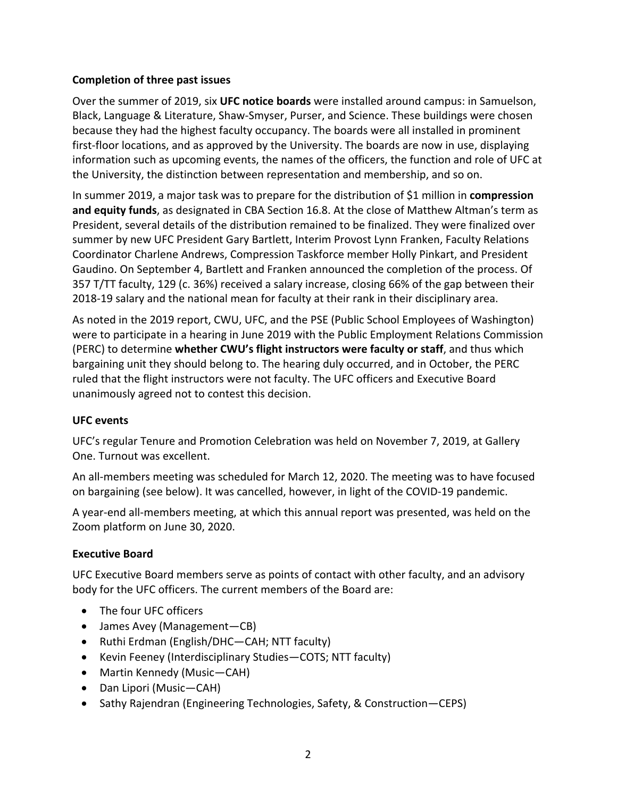#### **Completion of three past issues**

Over the summer of 2019, six **UFC notice boards** were installed around campus: in Samuelson, Black, Language & Literature, Shaw-Smyser, Purser, and Science. These buildings were chosen because they had the highest faculty occupancy. The boards were all installed in prominent first-floor locations, and as approved by the University. The boards are now in use, displaying information such as upcoming events, the names of the officers, the function and role of UFC at the University, the distinction between representation and membership, and so on.

In summer 2019, a major task was to prepare for the distribution of \$1 million in **compression and equity funds**, as designated in CBA Section 16.8. At the close of Matthew Altman's term as President, several details of the distribution remained to be finalized. They were finalized over summer by new UFC President Gary Bartlett, Interim Provost Lynn Franken, Faculty Relations Coordinator Charlene Andrews, Compression Taskforce member Holly Pinkart, and President Gaudino. On September 4, Bartlett and Franken announced the completion of the process. Of 357 T/TT faculty, 129 (c. 36%) received a salary increase, closing 66% of the gap between their 2018-19 salary and the national mean for faculty at their rank in their disciplinary area.

As noted in the 2019 report, CWU, UFC, and the PSE (Public School Employees of Washington) were to participate in a hearing in June 2019 with the Public Employment Relations Commission (PERC) to determine **whether CWU's flight instructors were faculty or staff**, and thus which bargaining unit they should belong to. The hearing duly occurred, and in October, the PERC ruled that the flight instructors were not faculty. The UFC officers and Executive Board unanimously agreed not to contest this decision.

### **UFC events**

UFC's regular Tenure and Promotion Celebration was held on November 7, 2019, at Gallery One. Turnout was excellent.

An all-members meeting was scheduled for March 12, 2020. The meeting was to have focused on bargaining (see below). It was cancelled, however, in light of the COVID-19 pandemic.

A year-end all-members meeting, at which this annual report was presented, was held on the Zoom platform on June 30, 2020.

### **Executive Board**

UFC Executive Board members serve as points of contact with other faculty, and an advisory body for the UFC officers. The current members of the Board are:

- The four UFC officers
- James Avey (Management—CB)
- Ruthi Erdman (English/DHC—CAH; NTT faculty)
- Kevin Feeney (Interdisciplinary Studies—COTS; NTT faculty)
- Martin Kennedy (Music—CAH)
- Dan Lipori (Music—CAH)
- Sathy Rajendran (Engineering Technologies, Safety, & Construction—CEPS)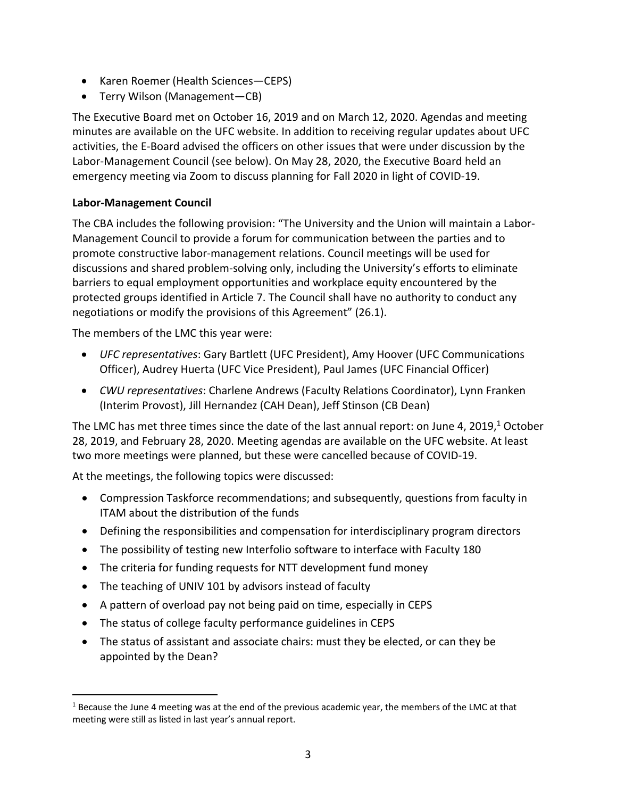- Karen Roemer (Health Sciences—CEPS)
- Terry Wilson (Management—CB)

The Executive Board met on October 16, 2019 and on March 12, 2020. Agendas and meeting minutes are available on the UFC website. In addition to receiving regular updates about UFC activities, the E-Board advised the officers on other issues that were under discussion by the Labor-Management Council (see below). On May 28, 2020, the Executive Board held an emergency meeting via Zoom to discuss planning for Fall 2020 in light of COVID-19.

# **Labor-Management Council**

The CBA includes the following provision: "The University and the Union will maintain a Labor-Management Council to provide a forum for communication between the parties and to promote constructive labor-management relations. Council meetings will be used for discussions and shared problem-solving only, including the University's efforts to eliminate barriers to equal employment opportunities and workplace equity encountered by the protected groups identified in Article 7. The Council shall have no authority to conduct any negotiations or modify the provisions of this Agreement" (26.1).

The members of the LMC this year were:

- *UFC representatives*: Gary Bartlett (UFC President), Amy Hoover (UFC Communications Officer), Audrey Huerta (UFC Vice President), Paul James (UFC Financial Officer)
- *CWU representatives*: Charlene Andrews (Faculty Relations Coordinator), Lynn Franken (Interim Provost), Jill Hernandez (CAH Dean), Jeff Stinson (CB Dean)

The LMC has met three times since the date of the last annual report: on June 4, 2019, $1$  October 28, 2019, and February 28, 2020. Meeting agendas are available on the UFC website. At least two more meetings were planned, but these were cancelled because of COVID-19.

At the meetings, the following topics were discussed:

- Compression Taskforce recommendations; and subsequently, questions from faculty in ITAM about the distribution of the funds
- Defining the responsibilities and compensation for interdisciplinary program directors
- The possibility of testing new Interfolio software to interface with Faculty 180
- The criteria for funding requests for NTT development fund money
- The teaching of UNIV 101 by advisors instead of faculty
- A pattern of overload pay not being paid on time, especially in CEPS
- The status of college faculty performance guidelines in CEPS
- The status of assistant and associate chairs: must they be elected, or can they be appointed by the Dean?

 $1$  Because the June 4 meeting was at the end of the previous academic year, the members of the LMC at that meeting were still as listed in last year's annual report.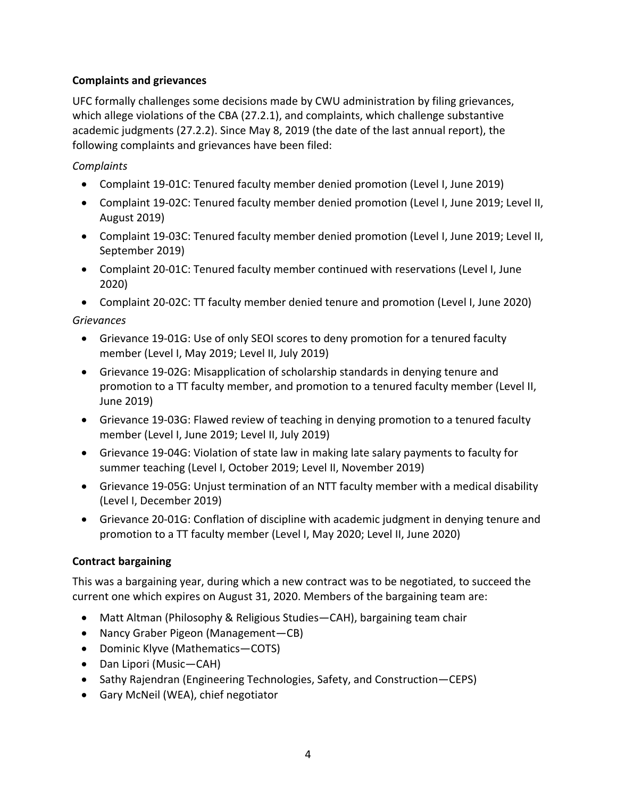## **Complaints and grievances**

UFC formally challenges some decisions made by CWU administration by filing grievances, which allege violations of the CBA (27.2.1), and complaints, which challenge substantive academic judgments (27.2.2). Since May 8, 2019 (the date of the last annual report), the following complaints and grievances have been filed:

### *Complaints*

- Complaint 19-01C: Tenured faculty member denied promotion (Level I, June 2019)
- Complaint 19-02C: Tenured faculty member denied promotion (Level I, June 2019; Level II, August 2019)
- Complaint 19-03C: Tenured faculty member denied promotion (Level I, June 2019; Level II, September 2019)
- Complaint 20-01C: Tenured faculty member continued with reservations (Level I, June 2020)

• Complaint 20-02C: TT faculty member denied tenure and promotion (Level I, June 2020)

## *Grievances*

- Grievance 19-01G: Use of only SEOI scores to deny promotion for a tenured faculty member (Level I, May 2019; Level II, July 2019)
- Grievance 19-02G: Misapplication of scholarship standards in denying tenure and promotion to a TT faculty member, and promotion to a tenured faculty member (Level II, June 2019)
- Grievance 19-03G: Flawed review of teaching in denying promotion to a tenured faculty member (Level I, June 2019; Level II, July 2019)
- Grievance 19-04G: Violation of state law in making late salary payments to faculty for summer teaching (Level I, October 2019; Level II, November 2019)
- Grievance 19-05G: Unjust termination of an NTT faculty member with a medical disability (Level I, December 2019)
- Grievance 20-01G: Conflation of discipline with academic judgment in denying tenure and promotion to a TT faculty member (Level I, May 2020; Level II, June 2020)

# **Contract bargaining**

This was a bargaining year, during which a new contract was to be negotiated, to succeed the current one which expires on August 31, 2020. Members of the bargaining team are:

- Matt Altman (Philosophy & Religious Studies—CAH), bargaining team chair
- Nancy Graber Pigeon (Management—CB)
- Dominic Klyve (Mathematics—COTS)
- Dan Lipori (Music—CAH)
- Sathy Rajendran (Engineering Technologies, Safety, and Construction—CEPS)
- Gary McNeil (WEA), chief negotiator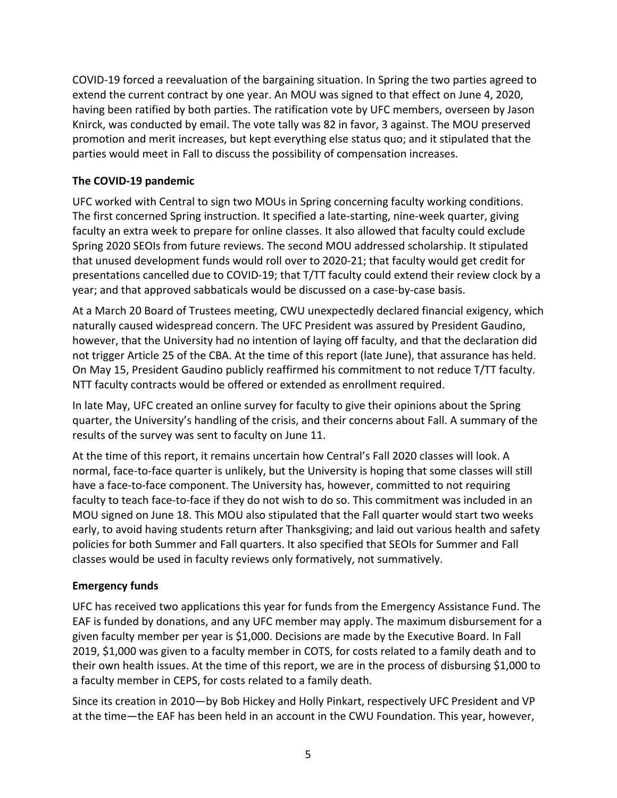COVID-19 forced a reevaluation of the bargaining situation. In Spring the two parties agreed to extend the current contract by one year. An MOU was signed to that effect on June 4, 2020, having been ratified by both parties. The ratification vote by UFC members, overseen by Jason Knirck, was conducted by email. The vote tally was 82 in favor, 3 against. The MOU preserved promotion and merit increases, but kept everything else status quo; and it stipulated that the parties would meet in Fall to discuss the possibility of compensation increases.

## **The COVID-19 pandemic**

UFC worked with Central to sign two MOUs in Spring concerning faculty working conditions. The first concerned Spring instruction. It specified a late-starting, nine-week quarter, giving faculty an extra week to prepare for online classes. It also allowed that faculty could exclude Spring 2020 SEOIs from future reviews. The second MOU addressed scholarship. It stipulated that unused development funds would roll over to 2020-21; that faculty would get credit for presentations cancelled due to COVID-19; that T/TT faculty could extend their review clock by a year; and that approved sabbaticals would be discussed on a case-by-case basis.

At a March 20 Board of Trustees meeting, CWU unexpectedly declared financial exigency, which naturally caused widespread concern. The UFC President was assured by President Gaudino, however, that the University had no intention of laying off faculty, and that the declaration did not trigger Article 25 of the CBA. At the time of this report (late June), that assurance has held. On May 15, President Gaudino publicly reaffirmed his commitment to not reduce T/TT faculty. NTT faculty contracts would be offered or extended as enrollment required.

In late May, UFC created an online survey for faculty to give their opinions about the Spring quarter, the University's handling of the crisis, and their concerns about Fall. A summary of the results of the survey was sent to faculty on June 11.

At the time of this report, it remains uncertain how Central's Fall 2020 classes will look. A normal, face-to-face quarter is unlikely, but the University is hoping that some classes will still have a face-to-face component. The University has, however, committed to not requiring faculty to teach face-to-face if they do not wish to do so. This commitment was included in an MOU signed on June 18. This MOU also stipulated that the Fall quarter would start two weeks early, to avoid having students return after Thanksgiving; and laid out various health and safety policies for both Summer and Fall quarters. It also specified that SEOIs for Summer and Fall classes would be used in faculty reviews only formatively, not summatively.

### **Emergency funds**

UFC has received two applications this year for funds from the Emergency Assistance Fund. The EAF is funded by donations, and any UFC member may apply. The maximum disbursement for a given faculty member per year is \$1,000. Decisions are made by the Executive Board. In Fall 2019, \$1,000 was given to a faculty member in COTS, for costs related to a family death and to their own health issues. At the time of this report, we are in the process of disbursing \$1,000 to a faculty member in CEPS, for costs related to a family death.

Since its creation in 2010—by Bob Hickey and Holly Pinkart, respectively UFC President and VP at the time—the EAF has been held in an account in the CWU Foundation. This year, however,